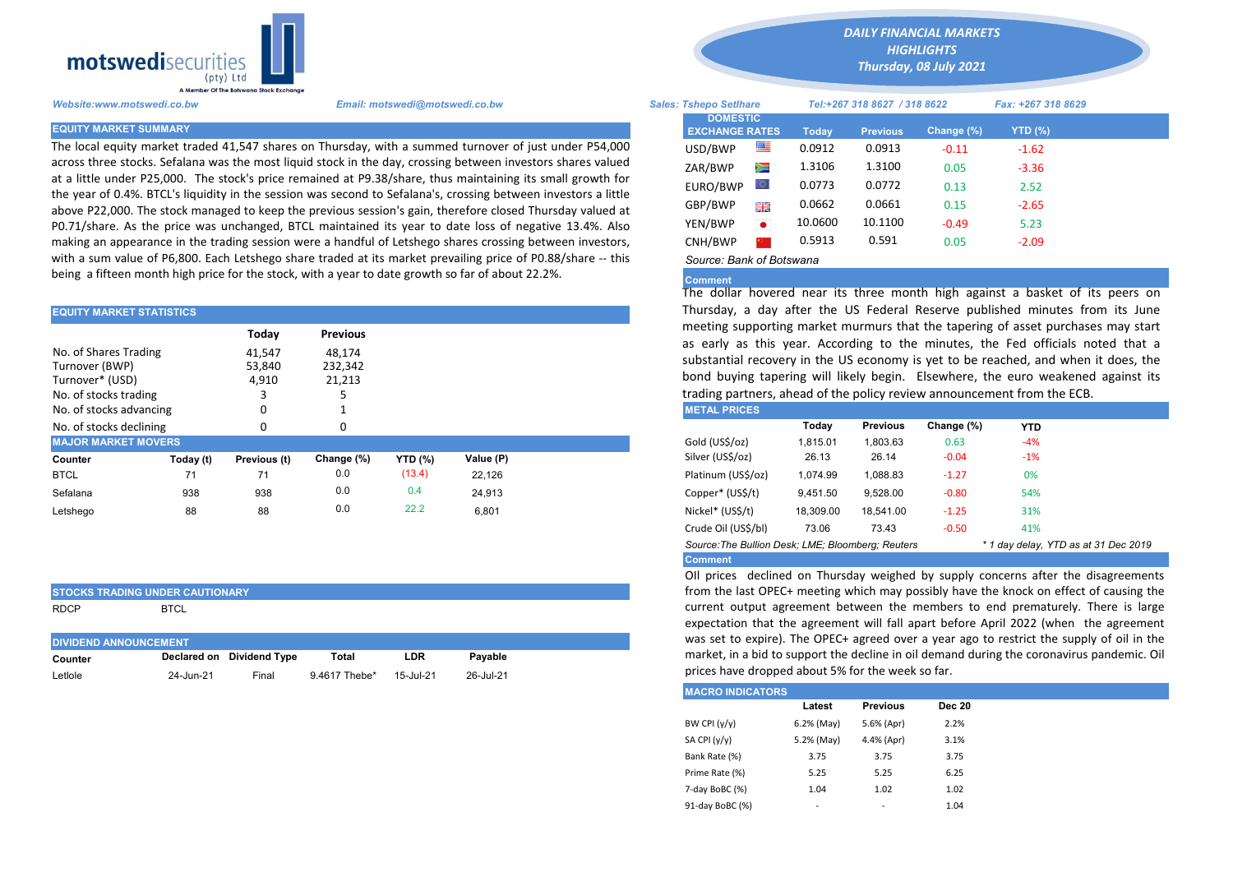

The local equity market traded 41,547 shares on Thursday, with a summed turnover of just under P54,000 across three stocks. Sefalana was the most liquid stock in the day, crossing between investors shares valued at a little under P25,000. The stock's price remained at P9.38/share, thus maintaining its small growth for the year of 0.4%. BTCL's liquidity in the session was second to Sefalana's, crossing between investors a little above P22,000. The stock managed to keep the previous session's gain, therefore closed Thursday valued at P0.71/share. As the price was unchanged, BTCL maintained its year to date loss of negative 13.4%. Also making an appearance in the trading session were a handful of Letshego shares crossing between investors, with a sum value of P6,800. Each Letshego share traded at its market prevailing price of P0.88/share -- this being a fifteen month high price for the stock, with a year to date growth so far of about 22.2%.

| <b>EQUITY MARKET STATISTICS</b>                                                                                |           |                                    |                                                |                |           | Thursday, a day after the US Federal Reserve published minutes<br>meeting supporting market murmurs that the tapering of asset purcl<br>as early as this year. According to the minutes, the Fed officials<br>substantial recovery in the US economy is yet to be reached, and wh<br>bond buying tapering will likely begin. Elsewhere, the euro weake<br>trading partners, ahead of the policy review announcement from the E<br><b>METAL PRICES</b> |                    |           |                 |            |            |  |
|----------------------------------------------------------------------------------------------------------------|-----------|------------------------------------|------------------------------------------------|----------------|-----------|-------------------------------------------------------------------------------------------------------------------------------------------------------------------------------------------------------------------------------------------------------------------------------------------------------------------------------------------------------------------------------------------------------------------------------------------------------|--------------------|-----------|-----------------|------------|------------|--|
| No. of Shares Trading<br>Turnover (BWP)<br>Turnover* (USD)<br>No. of stocks trading<br>No. of stocks advancing |           | Today<br>41,547<br>53,840<br>4,910 | <b>Previous</b><br>48,174<br>232,342<br>21,213 |                |           |                                                                                                                                                                                                                                                                                                                                                                                                                                                       |                    |           |                 |            |            |  |
| No. of stocks declining                                                                                        |           |                                    | O                                              |                |           |                                                                                                                                                                                                                                                                                                                                                                                                                                                       |                    | Todav     | <b>Previous</b> | Change (%) | <b>YTD</b> |  |
| <b>MAJOR MARKET MOVERS</b>                                                                                     |           |                                    |                                                |                |           |                                                                                                                                                                                                                                                                                                                                                                                                                                                       | Gold (US\$/oz)     | 1,815.01  | 1,803.63        | 0.63       | $-4%$      |  |
| Counter                                                                                                        | Today (t) | Previous (t)                       | Change (%)                                     | <b>YTD (%)</b> | Value (P) |                                                                                                                                                                                                                                                                                                                                                                                                                                                       | Silver (US\$/oz)   | 26.13     | 26.14           | $-0.04$    | $-1%$      |  |
| <b>BTCL</b>                                                                                                    | 71        | 71                                 | 0.0                                            | (13.4)         | 22.126    |                                                                                                                                                                                                                                                                                                                                                                                                                                                       | Platinum (US\$/oz) | 1.074.99  | 1,088.83        | $-1.27$    | 0%         |  |
| Sefalana                                                                                                       | 938       | 938                                | 0.0                                            | 0.4            | 24.913    |                                                                                                                                                                                                                                                                                                                                                                                                                                                       | Copper* (US\$/t)   | 9,451.50  | 9,528.00        | $-0.80$    | 54%        |  |
| Letshego                                                                                                       | 88        | 88                                 | 0.0                                            | 22.2           | 6,801     |                                                                                                                                                                                                                                                                                                                                                                                                                                                       | Nickel* (US\$/t)   | 18,309.00 | 18,541.00       | $-1.25$    | 31%        |  |
|                                                                                                                |           |                                    |                                                |                |           |                                                                                                                                                                                                                                                                                                                                                                                                                                                       | - . -              |           |                 |            |            |  |

|             | <b>STOCKS TRADING UNDER CAUTIONARY</b> |
|-------------|----------------------------------------|
| <b>RDCP</b> | <b>BTCL</b>                            |

| <b>DIVIDEND ANNOUNCEMENT</b> |           |                           |               |           |           |  |  |  |  |  |
|------------------------------|-----------|---------------------------|---------------|-----------|-----------|--|--|--|--|--|
| Counter                      |           | Declared on Dividend Type | Total         | LDR       | Pavable   |  |  |  |  |  |
| Letlole                      | 24-Jun-21 | Final                     | 9.4617 Thebe* | 15-Jul-21 | 26-Jul-21 |  |  |  |  |  |

*DAILY FINANCIAL MARKETS HIGHLIGHTS*

*Thursday, 08 July 2021* 

| A Member Of the Boiswand Slock Exchange |                                                                                                                                                                                                                                |                                          |           |                              |                 |            |                    |  |
|-----------------------------------------|--------------------------------------------------------------------------------------------------------------------------------------------------------------------------------------------------------------------------------|------------------------------------------|-----------|------------------------------|-----------------|------------|--------------------|--|
| Website:www.motswedi.co.bw              | Email: motswedi@motswedi.co.bw                                                                                                                                                                                                 | <b>Sales: Tshepo Setlhare</b>            |           | Tel:+267 318 8627 / 318 8622 |                 |            | Fax: +267 318 8629 |  |
| <b>EQUITY MARKET SUMMARY</b>            |                                                                                                                                                                                                                                | <b>DOMESTIC</b><br><b>EXCHANGE RATES</b> |           | Today                        | <b>Previous</b> | Change (%) | <b>YTD (%)</b>     |  |
|                                         | The local equity market traded 41,547 shares on Thursday, with a summed turnover of just under P54,000                                                                                                                         | USD/BWP                                  | 罕         | 0.0912                       | 0.0913          | $-0.11$    | $-1.62$            |  |
|                                         | across three stocks. Sefalana was the most liquid stock in the day, crossing between investors shares valued                                                                                                                   | ZAR/BWP                                  | Ň         | 1.3106                       | 1.3100          | 0.05       | $-3.36$            |  |
|                                         | at a little under P25,000. The stock's price remained at P9.38/share, thus maintaining its small growth for<br>the year of 0.4%. BTCL's liquidity in the session was second to Sefalana's, crossing between investors a little | EURO/BWP                                 | Ю.        | 0.0773                       | 0.0772          | 0.13       | 2.52               |  |
|                                         | above P22,000. The stock managed to keep the previous session's gain, therefore closed Thursday valued at                                                                                                                      | GBP/BWP                                  | 開票        | 0.0662                       | 0.0661          | 0.15       | $-2.65$            |  |
|                                         | P0.71/share. As the price was unchanged, BTCL maintained its year to date loss of negative 13.4%. Also                                                                                                                         | YEN/BWP                                  | $\bullet$ | 10.0600                      | 10.1100         | $-0.49$    | 5.23               |  |
|                                         | making an appearance in the trading session were a handful of Letshego shares crossing between investors,                                                                                                                      | CNH/BWP                                  |           | 0.5913                       | 0.591           | 0.05       | $-2.09$            |  |
|                                         | with a sum value of P6,800. Each Letshego share traded at its market prevailing price of P0.88/share -- this                                                                                                                   | Source: Bank of Botswana                 |           |                              |                 |            |                    |  |

## Comment

The dollar hovered near its three month high against a basket of its peers on Thursday, a day after the US Federal Reserve published minutes from its June meeting supporting market murmurs that the tapering of asset purchases may start as early as this year. According to the minutes, the Fed officials noted that a substantial recovery in the US economy is yet to be reached, and when it does, the bond buying tapering will likely begin. Elsewhere, the euro weakened against its trading partners, ahead of the policy review announcement from the ECB.

| <b>METAL PRICES</b>                                                                       |           |                 |            |       |  |  |  |  |  |
|-------------------------------------------------------------------------------------------|-----------|-----------------|------------|-------|--|--|--|--|--|
|                                                                                           | Today     | <b>Previous</b> | Change (%) | YTD   |  |  |  |  |  |
| Gold (US\$/oz)                                                                            | 1.815.01  | 1.803.63        | 0.63       | $-4%$ |  |  |  |  |  |
| Silver (US\$/oz)                                                                          | 26.13     | 26.14           | $-0.04$    | $-1%$ |  |  |  |  |  |
| Platinum (US\$/oz)                                                                        | 1.074.99  | 1.088.83        | $-1.27$    | 0%    |  |  |  |  |  |
| Copper* (US\$/t)                                                                          | 9.451.50  | 9.528.00        | $-0.80$    | 54%   |  |  |  |  |  |
| Nickel* (US\$/t)                                                                          | 18.309.00 | 18,541.00       | $-1.25$    | 31%   |  |  |  |  |  |
| Crude Oil (US\$/bl)                                                                       | 73.06     | 73.43           | $-0.50$    | 41%   |  |  |  |  |  |
| Source: The Bullion Desk: LME; Bloomberg: Reuters<br>* 1 day delay, YTD as at 31 Dec 2019 |           |                 |            |       |  |  |  |  |  |
| <b>Comment</b>                                                                            |           |                 |            |       |  |  |  |  |  |

OIl prices declined on Thursday weighed by supply concerns after the disagreements from the last OPEC+ meeting which may possibly have the knock on effect of causing the current output agreement between the members to end prematurely. There is large expectation that the agreement will fall apart before April 2022 (when the agreement was set to expire). The OPEC+ agreed over a year ago to restrict the supply of oil in the market, in a bid to support the decline in oil demand during the coronavirus pandemic. Oil prices have dropped about 5% for the week so far.

| <b>MACRO INDICATORS</b> |            |                 |               |  |  |  |  |  |  |
|-------------------------|------------|-----------------|---------------|--|--|--|--|--|--|
|                         | Latest     | <b>Previous</b> | <b>Dec 20</b> |  |  |  |  |  |  |
| BW CPI $(y/y)$          | 6.2% (May) | 5.6% (Apr)      | 2.2%          |  |  |  |  |  |  |
| SA CPI (y/y)            | 5.2% (May) | 4.4% (Apr)      | 3.1%          |  |  |  |  |  |  |
| Bank Rate (%)           | 3.75       | 3.75            | 3.75          |  |  |  |  |  |  |
| Prime Rate (%)          | 5.25       | 5.25            | 6.25          |  |  |  |  |  |  |
| 7-day BoBC (%)          | 1.04       | 1.02            | 1.02          |  |  |  |  |  |  |
| 91-day BoBC (%)         | ۰          | -               | 1.04          |  |  |  |  |  |  |